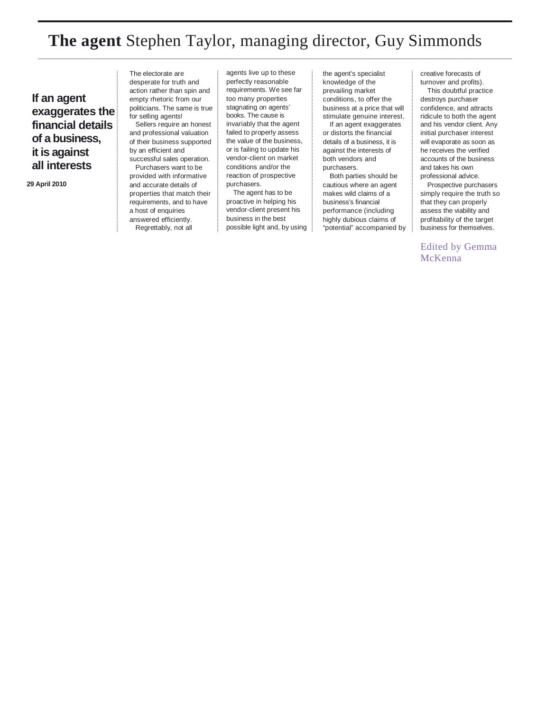## **The agent** Stephen Taylor, managing director, Guy Simmonds

**If an agent exaggerates the financial details of a business, it is against all interests**

**29 April 2010**

The electorate are desperate for truth and action rather than spin and empty rhetoric from our politicians. The same is true for selling agents!

Sellers require an honest and professional valuation of their business supported by an efficient and successful sales operation.

Purchasers want to be provided with informative and accurate details of properties that match their requirements, and to have a host of enquiries answered efficiently. Regrettably, not all

agents live up to these perfectly reasonable requirements. We see far too many properties stagnating on agents' books. The cause is invariably that the agent failed to properly assess the value of the business, or is failing to update his vendor-client on market conditions and/or the reaction of prospective purchasers.

The agent has to be proactive in helping his vendor-client present his business in the best possible light and, by using

the agent's specialist knowledge of the prevailing market conditions, to offer the business at a price that will stimulate genuine interest. If an agent exaggerates or distorts the financial details of a business, it is against the interests of both vendors and purchasers.

Both parties should be cautious where an agent makes wild claims of a business's financial performance (including highly dubious claims of "potential" accompanied by creative forecasts of turnover and profits).

This doubtful practice destroys purchaser confidence, and attracts ridicule to both the agent and his vendor client. Any initial purchaser interest will evaporate as soon as he receives the verified accounts of the business and takes his own professional advice.

Prospective purchasers simply require the truth so that they can properly assess the viability and profitability of the target business for themselves.

Edited by Gemma McKenna